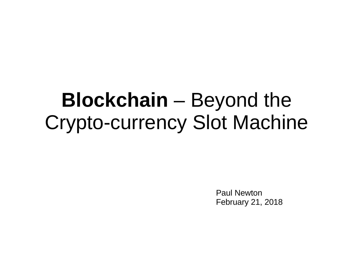# **Blockchain** – Beyond the Crypto-currency Slot Machine

Paul Newton February 21, 2018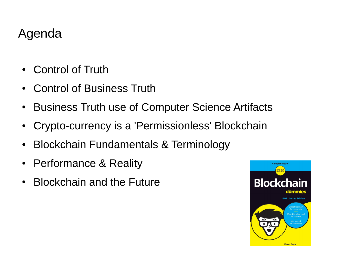# Agenda

- Control of Truth
- **Control of Business Truth**
- Business Truth use of Computer Science Artifacts
- Crypto-currency is a 'Permissionless' Blockchain
- Blockchain Fundamentals & Terminology
- Performance & Reality
- Blockchain and the Future

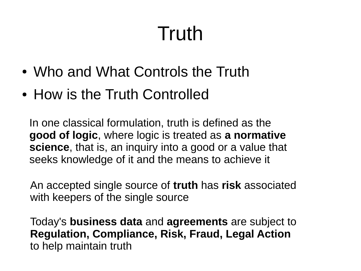# Truth

- Who and What Controls the Truth
- How is the Truth Controlled

In one classical formulation, truth is defined as the **good of logic**, where logic is treated as **a normative science**, that is, an inquiry into a good or a value that seeks knowledge of it and the means to achieve it

An accepted single source of **truth** has **risk** associated with keepers of the single source

Today's **business data** and **agreements** are subject to **Regulation, Compliance, Risk, Fraud, Legal Action** to help maintain truth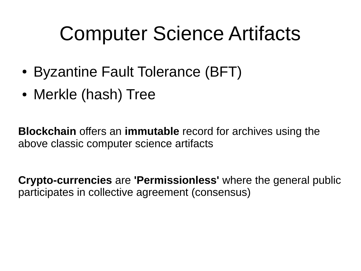# Computer Science Artifacts

- Byzantine Fault Tolerance (BFT)
- Merkle (hash) Tree

**Blockchain** offers an **immutable** record for archives using the above classic computer science artifacts

**Crypto-currencies** are **'Permissionless'** where the general public participates in collective agreement (consensus)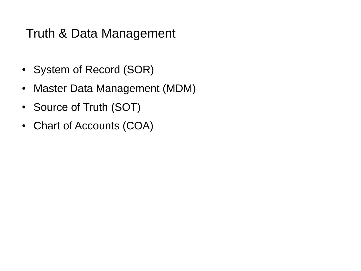# Truth & Data Management

- System of Record (SOR)
- Master Data Management (MDM)
- Source of Truth (SOT)
- Chart of Accounts (COA)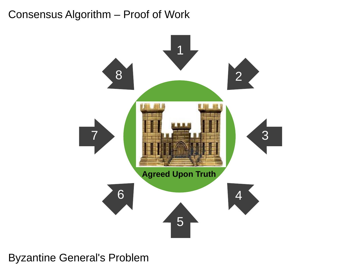### Consensus Algorithm – Proof of Work



#### Byzantine General's Problem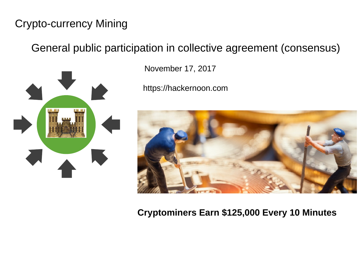### Crypto-currency Mining

### General public participation in collective agreement (consensus)

November 17, 2017

https://hackernoon.com



#### **Cryptominers Earn \$125,000 Every 10 Minutes**

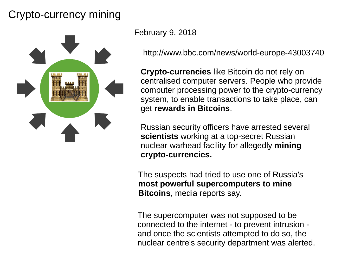## Crypto-currency mining



February 9, 2018

http://www.bbc.com/news/world-europe-43003740

**Crypto-currencies** like Bitcoin do not rely on centralised computer servers. People who provide computer processing power to the crypto-currency system, to enable transactions to take place, can get **rewards in Bitcoins**.

Russian security officers have arrested several **scientists** working at a top-secret Russian nuclear warhead facility for allegedly **mining crypto-currencies.**

The suspects had tried to use one of Russia's **most powerful supercomputers to mine Bitcoins**, media reports say.

The supercomputer was not supposed to be connected to the internet - to prevent intrusion and once the scientists attempted to do so, the nuclear centre's security department was alerted.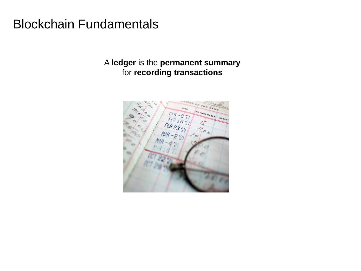## Blockchain Fundamentals

#### A **ledger** is the **permanent summary** for **recording transactions**

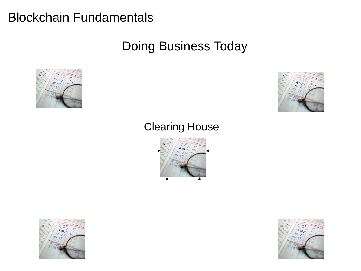## Blockchain Fundamentals

Doing Business Today

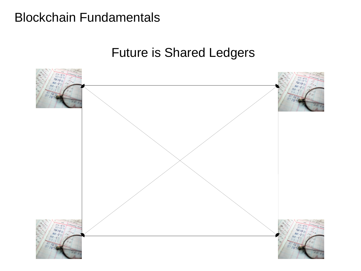# Blockchain Fundamentals

## Future is Shared Ledgers

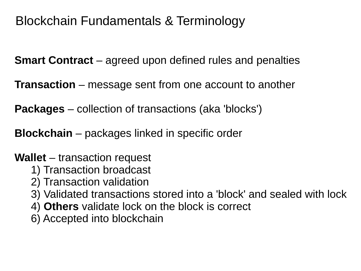# Blockchain Fundamentals & Terminology

**Smart Contract** – agreed upon defined rules and penalties

**Transaction** – message sent from one account to another

**Packages** – collection of transactions (aka 'blocks')

**Blockchain** – packages linked in specific order

#### **Wallet** – transaction request

- 1) Transaction broadcast
- 2) Transaction validation
- 3) Validated transactions stored into a 'block' and sealed with lock
- 4) **Others** validate lock on the block is correct
- 6) Accepted into blockchain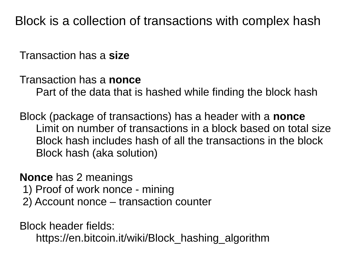Block is a collection of transactions with complex hash

Transaction has a **size**

Transaction has a **nonce**

Part of the data that is hashed while finding the block hash

Block (package of transactions) has a header with a **nonce** Limit on number of transactions in a block based on total size Block hash includes hash of all the transactions in the block Block hash (aka solution)

**Nonce** has 2 meanings 1) Proof of work nonce - mining 2) Account nonce – transaction counter

Block header fields:

https://en.bitcoin.it/wiki/Block\_hashing\_algorithm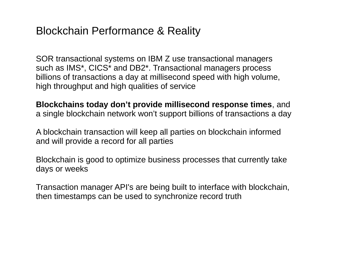#### Blockchain Performance & Reality

SOR transactional systems on IBM Z use transactional managers such as IMS\*, CICS\* and DB2\*. Transactional managers process billions of transactions a day at millisecond speed with high volume, high throughput and high qualities of service

**Blockchains today don't provide millisecond response times**, and a single blockchain network won't support billions of transactions a day

A blockchain transaction will keep all parties on blockchain informed and will provide a record for all parties

Blockchain is good to optimize business processes that currently take days or weeks

Transaction manager API's are being built to interface with blockchain, then timestamps can be used to synchronize record truth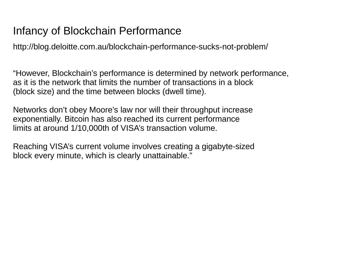### Infancy of Blockchain Performance

http://blog.deloitte.com.au/blockchain-performance-sucks-not-problem/

"However, Blockchain's performance is determined by network performance, as it is the network that limits the number of transactions in a block (block size) and the time between blocks (dwell time).

Networks don't obey Moore's law nor will their throughput increase exponentially. Bitcoin has also reached its current performance limits at around 1/10,000th of VISA's transaction volume.

Reaching VISA's current volume involves creating a gigabyte-sized block every minute, which is clearly unattainable."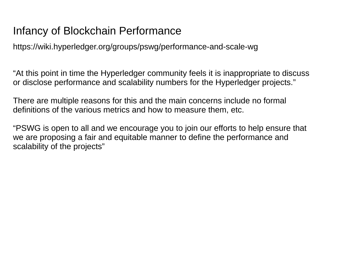### Infancy of Blockchain Performance

https://wiki.hyperledger.org/groups/pswg/performance-and-scale-wg

"At this point in time the Hyperledger community feels it is inappropriate to discuss or disclose performance and scalability numbers for the Hyperledger projects."

There are multiple reasons for this and the main concerns include no formal definitions of the various metrics and how to measure them, etc.

"PSWG is open to all and we encourage you to join our efforts to help ensure that we are proposing a fair and equitable manner to define the performance and scalability of the projects"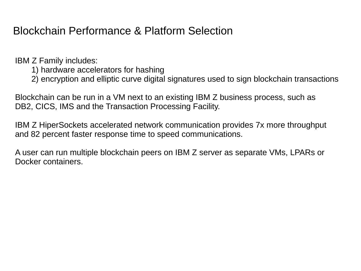#### Blockchain Performance & Platform Selection

IBM Z Family includes:

- 1) hardware accelerators for hashing
- 2) encryption and elliptic curve digital signatures used to sign blockchain transactions

Blockchain can be run in a VM next to an existing IBM Z business process, such as DB2, CICS, IMS and the Transaction Processing Facility.

IBM Z HiperSockets accelerated network communication provides 7x more throughput and 82 percent faster response time to speed communications.

A user can run multiple blockchain peers on IBM Z server as separate VMs, LPARs or Docker containers.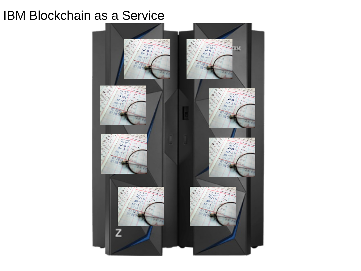# IBM Blockchain as a Service

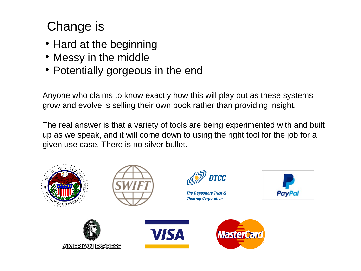# Change is

- Hard at the beginning
- Messy in the middle
- Potentially gorgeous in the end

Anyone who claims to know exactly how this will play out as these systems grow and evolve is selling their own book rather than providing insight.

The real answer is that a variety of tools are being experimented with and built up as we speak, and it will come down to using the right tool for the job for a given use case. There is no silver bullet.

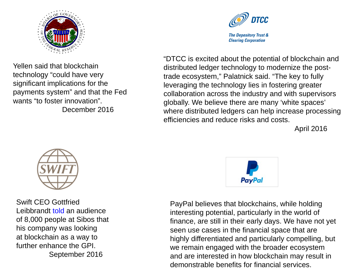

Yellen said that blockchain technology "could have very significant implications for the payments system" and that the Fed wants "to foster innovation".

December 2016



**The Depository Trust & Clearing Corporation** 

"DTCC is excited about the potential of blockchain and distributed ledger technology to modernize the posttrade ecosystem," Palatnick said. "The key to fully leveraging the technology lies in fostering greater collaboration across the industry and with supervisors globally. We believe there are many 'white spaces' where distributed ledgers can help increase processing efficiencies and reduce risks and costs.

April 2016



Swift CEO Gottfried Leibbrandt [told](http://www.coindesk.com/sibos-swiss-central-bank-blockchain-regulation/) an audience of 8,000 people at Sibos that his company was looking at blockchain as a way to further enhance the GPI. September 2016



PayPal believes that blockchains, while holding interesting potential, particularly in the world of finance, are still in their early days. We have not yet seen use cases in the financial space that are highly differentiated and particularly compelling, but we remain engaged with the broader ecosystem and are interested in how blockchain may result in demonstrable benefits for financial services.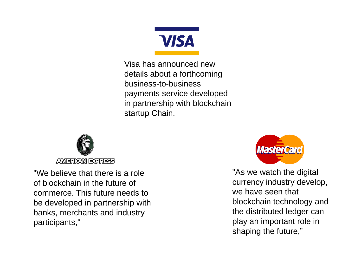

Visa has announced new details about a forthcoming business-to-business payments service developed in partnership with blockchain startup Chain.



"We believe that there is a role of blockchain in the future of commerce. This future needs to be developed in partnership with banks, merchants and industry participants,"



"As we watch the digital currency industry develop, we have seen that blockchain technology and the distributed ledger can play an important role in shaping the future,"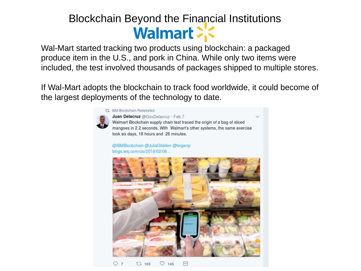# Blockchain Beyond the Financial Institutions **Walmart**

Wal-Mart started tracking two products using blockchain: a packaged produce item in the U.S., and pork in China. While only two items were included, the test involved thousands of packages shipped to multiple stores.

If Wal-Mart adopts the blockchain to track food worldwide, it could become of the largest deployments of the technology to date.



#### t1 IBM Blockchain Retweeted

Juan Delacruz @GovDelacruz · Feb 7 Walmart Blockchain supply chain test traced the origin of a bag of sliced mangoes in 2.2 seconds. With Walmart's other systems, the same exercise took six days, 18 hours and 26 minutes.

@IBMBlockchain @JuliaGlidden @teigenp blogs.wsj.com/cio/2018/02/06...



 $O$  145  $\triangleright$  $O<sub>7</sub>$  $17.103$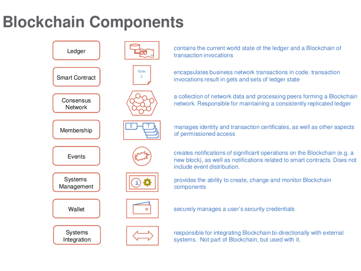# **Blockchain Components**



contains the current world state of the ledger and a Blockchain of

encapsulates business network transactions in code. transaction invocations result in gets and sets of ledger state

a collection of network data and processing peers forming a Blockchain network. Responsible for maintaining a consistently replicated ledger

manages identity and transaction certificates, as well as other aspects

creates notifications of significant operations on the Blockchain (e.g. a new block), as well as notifications related to smart contracts. Does not

provides the ability to create, change and monitor Blockchain

securely manages a user's security credentials

responsible for integrating Blockchain bi-directionally with external systems. Not part of Blockchain, but used with it.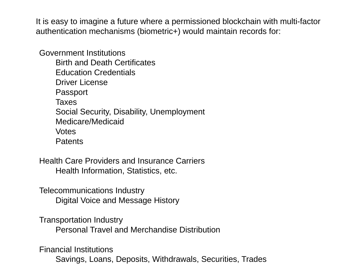It is easy to imagine a future where a permissioned blockchain with multi-factor authentication mechanisms (biometric+) would maintain records for:

Government Institutions Birth and Death Certificates Education Credentials Driver License Passport Taxes Social Security, Disability, Unemployment Medicare/Medicaid Votes Patents

Health Care Providers and Insurance Carriers Health Information, Statistics, etc.

Telecommunications Industry Digital Voice and Message History

Transportation Industry Personal Travel and Merchandise Distribution

Financial Institutions Savings, Loans, Deposits, Withdrawals, Securities, Trades